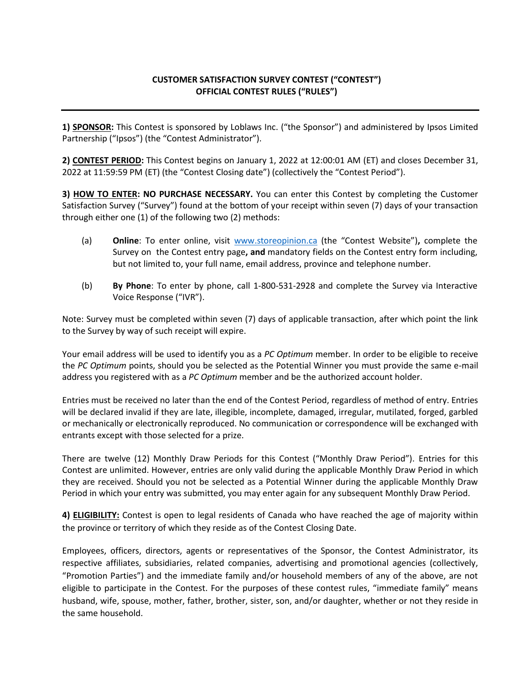## **CUSTOMER SATISFACTION SURVEY CONTEST ("CONTEST") OFFICIAL CONTEST RULES ("RULES")**

**1) SPONSOR:** This Contest is sponsored by Loblaws Inc. ("the Sponsor") and administered by Ipsos Limited Partnership ("Ipsos") (the "Contest Administrator").

**2) CONTEST PERIOD:** This Contest begins on January 1, 2022 at 12:00:01 AM (ET) and closes December 31, 2022 at 11:59:59 PM (ET) (the "Contest Closing date") (collectively the "Contest Period").

**3) HOW TO ENTER: NO PURCHASE NECESSARY.** You can enter this Contest by completing the Customer Satisfaction Survey ("Survey") found at the bottom of your receipt within seven (7) days of your transaction through either one (1) of the following two (2) methods:

- (a) **Online**: To enter online, visit [www.storeopinion.ca](http://www.storeopinion.c/) (the "Contest Website")**,** complete the Survey on the Contest entry page**, and** mandatory fields on the Contest entry form including, but not limited to, your full name, email address, province and telephone number.
- (b) **By Phone**: To enter by phone, call 1-800-531-2928 and complete the Survey via Interactive Voice Response ("IVR").

Note: Survey must be completed within seven (7) days of applicable transaction, after which point the link to the Survey by way of such receipt will expire.

Your email address will be used to identify you as a *PC Optimum* member. In order to be eligible to receive the *PC Optimum* points, should you be selected as the Potential Winner you must provide the same e-mail address you registered with as a *PC Optimum* member and be the authorized account holder.

Entries must be received no later than the end of the Contest Period, regardless of method of entry. Entries will be declared invalid if they are late, illegible, incomplete, damaged, irregular, mutilated, forged, garbled or mechanically or electronically reproduced. No communication or correspondence will be exchanged with entrants except with those selected for a prize.

There are twelve (12) Monthly Draw Periods for this Contest ("Monthly Draw Period"). Entries for this Contest are unlimited. However, entries are only valid during the applicable Monthly Draw Period in which they are received. Should you not be selected as a Potential Winner during the applicable Monthly Draw Period in which your entry was submitted, you may enter again for any subsequent Monthly Draw Period.

**4) ELIGIBILITY:** Contest is open to legal residents of Canada who have reached the age of majority within the province or territory of which they reside as of the Contest Closing Date.

Employees, officers, directors, agents or representatives of the Sponsor, the Contest Administrator, its respective affiliates, subsidiaries, related companies, advertising and promotional agencies (collectively, "Promotion Parties") and the immediate family and/or household members of any of the above, are not eligible to participate in the Contest. For the purposes of these contest rules, "immediate family" means husband, wife, spouse, mother, father, brother, sister, son, and/or daughter, whether or not they reside in the same household.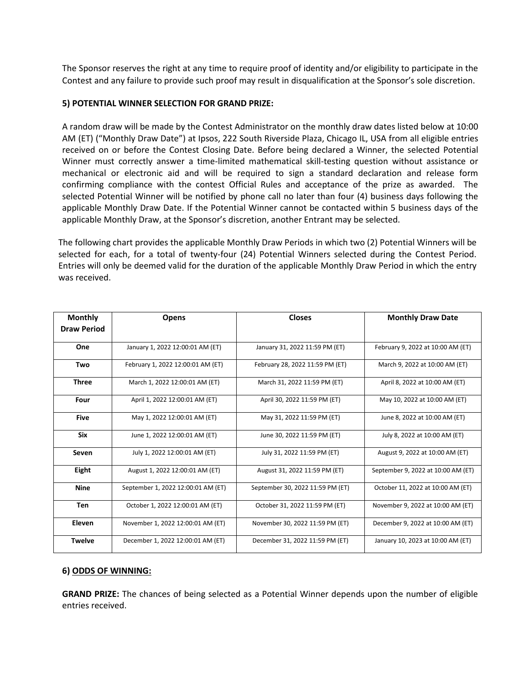The Sponsor reserves the right at any time to require proof of identity and/or eligibility to participate in the Contest and any failure to provide such proof may result in disqualification at the Sponsor's sole discretion.

## **5) POTENTIAL WINNER SELECTION FOR GRAND PRIZE:**

A random draw will be made by the Contest Administrator on the monthly draw dates listed below at 10:00 AM (ET) ("Monthly Draw Date") at Ipsos, 222 South Riverside Plaza, Chicago IL, USA from all eligible entries received on or before the Contest Closing Date. Before being declared a Winner, the selected Potential Winner must correctly answer a time-limited mathematical skill-testing question without assistance or mechanical or electronic aid and will be required to sign a standard declaration and release form confirming compliance with the contest Official Rules and acceptance of the prize as awarded. The selected Potential Winner will be notified by phone call no later than four (4) business days following the applicable Monthly Draw Date. If the Potential Winner cannot be contacted within 5 business days of the applicable Monthly Draw, at the Sponsor's discretion, another Entrant may be selected.

The following chart provides the applicable Monthly Draw Periods in which two (2) Potential Winners will be selected for each, for a total of twenty-four (24) Potential Winners selected during the Contest Period. Entries will only be deemed valid for the duration of the applicable Monthly Draw Period in which the entry was received.

| <b>Monthly</b>     | <b>Opens</b>                       | <b>Closes</b>                    | <b>Monthly Draw Date</b>           |
|--------------------|------------------------------------|----------------------------------|------------------------------------|
| <b>Draw Period</b> |                                    |                                  |                                    |
| One                | January 1, 2022 12:00:01 AM (ET)   | January 31, 2022 11:59 PM (ET)   | February 9, 2022 at 10:00 AM (ET)  |
| Two                | February 1, 2022 12:00:01 AM (ET)  | February 28, 2022 11:59 PM (ET)  | March 9, 2022 at 10:00 AM (ET)     |
| <b>Three</b>       | March 1, 2022 12:00:01 AM (ET)     | March 31, 2022 11:59 PM (ET)     | April 8, 2022 at 10:00 AM (ET)     |
| Four               | April 1, 2022 12:00:01 AM (ET)     | April 30, 2022 11:59 PM (ET)     | May 10, 2022 at 10:00 AM (ET)      |
| <b>Five</b>        | May 1, 2022 12:00:01 AM (ET)       | May 31, 2022 11:59 PM (ET)       | June 8, 2022 at 10:00 AM (ET)      |
| <b>Six</b>         | June 1, 2022 12:00:01 AM (ET)      | June 30, 2022 11:59 PM (ET)      | July 8, 2022 at 10:00 AM (ET)      |
| Seven              | July 1, 2022 12:00:01 AM (ET)      | July 31, 2022 11:59 PM (ET)      | August 9, 2022 at 10:00 AM (ET)    |
| Eight              | August 1, 2022 12:00:01 AM (ET)    | August 31, 2022 11:59 PM (ET)    | September 9, 2022 at 10:00 AM (ET) |
| <b>Nine</b>        | September 1, 2022 12:00:01 AM (ET) | September 30, 2022 11:59 PM (ET) | October 11, 2022 at 10:00 AM (ET)  |
| <b>Ten</b>         | October 1, 2022 12:00:01 AM (ET)   | October 31, 2022 11:59 PM (ET)   | November 9, 2022 at 10:00 AM (ET)  |
| Eleven             | November 1, 2022 12:00:01 AM (ET)  | November 30, 2022 11:59 PM (ET)  | December 9, 2022 at 10:00 AM (ET)  |
| <b>Twelve</b>      | December 1, 2022 12:00:01 AM (ET)  | December 31, 2022 11:59 PM (ET)  | January 10, 2023 at 10:00 AM (ET)  |

## **6) ODDS OF WINNING:**

**GRAND PRIZE:** The chances of being selected as a Potential Winner depends upon the number of eligible entries received.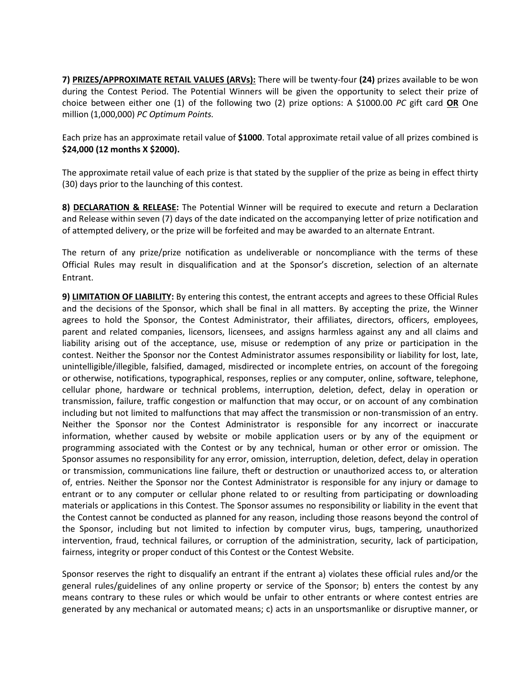**7) PRIZES/APPROXIMATE RETAIL VALUES (ARVs):** There will be twenty-four **(24)** prizes available to be won during the Contest Period. The Potential Winners will be given the opportunity to select their prize of choice between either one (1) of the following two (2) prize options: A \$1000.00 *PC* gift card **OR** One million (1,000,000) *PC Optimum Points.*

Each prize has an approximate retail value of **\$1000**. Total approximate retail value of all prizes combined is **\$24,000 (12 months X \$2000).**

The approximate retail value of each prize is that stated by the supplier of the prize as being in effect thirty (30) days prior to the launching of this contest.

**8) DECLARATION & RELEASE:** The Potential Winner will be required to execute and return a Declaration and Release within seven (7) days of the date indicated on the accompanying letter of prize notification and of attempted delivery, or the prize will be forfeited and may be awarded to an alternate Entrant.

The return of any prize/prize notification as undeliverable or noncompliance with the terms of these Official Rules may result in disqualification and at the Sponsor's discretion, selection of an alternate Entrant.

**9) LIMITATION OF LIABILITY:** By entering this contest, the entrant accepts and agrees to these Official Rules and the decisions of the Sponsor, which shall be final in all matters. By accepting the prize, the Winner agrees to hold the Sponsor, the Contest Administrator, their affiliates, directors, officers, employees, parent and related companies, licensors, licensees, and assigns harmless against any and all claims and liability arising out of the acceptance, use, misuse or redemption of any prize or participation in the contest. Neither the Sponsor nor the Contest Administrator assumes responsibility or liability for lost, late, unintelligible/illegible, falsified, damaged, misdirected or incomplete entries, on account of the foregoing or otherwise, notifications, typographical, responses, replies or any computer, online, software, telephone, cellular phone, hardware or technical problems, interruption, deletion, defect, delay in operation or transmission, failure, traffic congestion or malfunction that may occur, or on account of any combination including but not limited to malfunctions that may affect the transmission or non-transmission of an entry. Neither the Sponsor nor the Contest Administrator is responsible for any incorrect or inaccurate information, whether caused by website or mobile application users or by any of the equipment or programming associated with the Contest or by any technical, human or other error or omission. The Sponsor assumes no responsibility for any error, omission, interruption, deletion, defect, delay in operation or transmission, communications line failure, theft or destruction or unauthorized access to, or alteration of, entries. Neither the Sponsor nor the Contest Administrator is responsible for any injury or damage to entrant or to any computer or cellular phone related to or resulting from participating or downloading materials or applications in this Contest. The Sponsor assumes no responsibility or liability in the event that the Contest cannot be conducted as planned for any reason, including those reasons beyond the control of the Sponsor, including but not limited to infection by computer virus, bugs, tampering, unauthorized intervention, fraud, technical failures, or corruption of the administration, security, lack of participation, fairness, integrity or proper conduct of this Contest or the Contest Website.

Sponsor reserves the right to disqualify an entrant if the entrant a) violates these official rules and/or the general rules/guidelines of any online property or service of the Sponsor; b) enters the contest by any means contrary to these rules or which would be unfair to other entrants or where contest entries are generated by any mechanical or automated means; c) acts in an unsportsmanlike or disruptive manner, or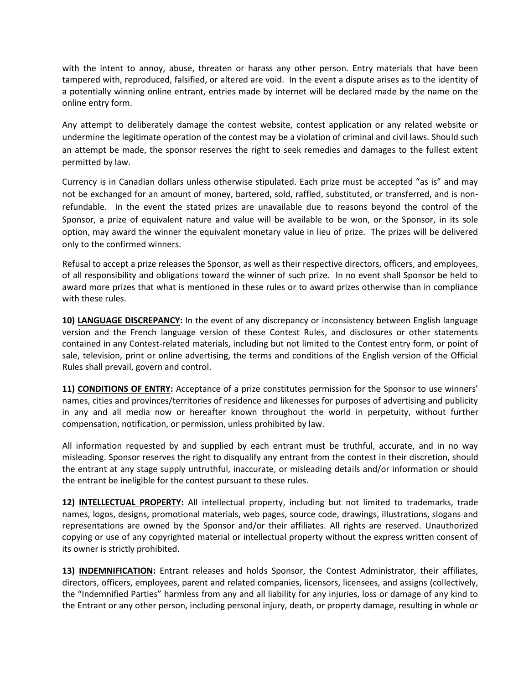with the intent to annoy, abuse, threaten or harass any other person. Entry materials that have been tampered with, reproduced, falsified, or altered are void. In the event a dispute arises as to the identity of a potentially winning online entrant, entries made by internet will be declared made by the name on the online entry form.

Any attempt to deliberately damage the contest website, contest application or any related website or undermine the legitimate operation of the contest may be a violation of criminal and civil laws. Should such an attempt be made, the sponsor reserves the right to seek remedies and damages to the fullest extent permitted by law.

Currency is in Canadian dollars unless otherwise stipulated. Each prize must be accepted "as is" and may not be exchanged for an amount of money, bartered, sold, raffled, substituted, or transferred, and is nonrefundable. In the event the stated prizes are unavailable due to reasons beyond the control of the Sponsor, a prize of equivalent nature and value will be available to be won, or the Sponsor, in its sole option, may award the winner the equivalent monetary value in lieu of prize. The prizes will be delivered only to the confirmed winners.

Refusal to accept a prize releases the Sponsor, as well as their respective directors, officers, and employees, of all responsibility and obligations toward the winner of such prize. In no event shall Sponsor be held to award more prizes that what is mentioned in these rules or to award prizes otherwise than in compliance with these rules.

**10) LANGUAGE DISCREPANCY:** In the event of any discrepancy or inconsistency between English language version and the French language version of these Contest Rules, and disclosures or other statements contained in any Contest-related materials, including but not limited to the Contest entry form, or point of sale, television, print or online advertising, the terms and conditions of the English version of the Official Rules shall prevail, govern and control.

**11) CONDITIONS OF ENTRY:** Acceptance of a prize constitutes permission for the Sponsor to use winners' names, cities and provinces/territories of residence and likenesses for purposes of advertising and publicity in any and all media now or hereafter known throughout the world in perpetuity, without further compensation, notification, or permission, unless prohibited by law.

All information requested by and supplied by each entrant must be truthful, accurate, and in no way misleading. Sponsor reserves the right to disqualify any entrant from the contest in their discretion, should the entrant at any stage supply untruthful, inaccurate, or misleading details and/or information or should the entrant be ineligible for the contest pursuant to these rules.

**12) INTELLECTUAL PROPERTY:** All intellectual property, including but not limited to trademarks, trade names, logos, designs, promotional materials, web pages, source code, drawings, illustrations, slogans and representations are owned by the Sponsor and/or their affiliates. All rights are reserved. Unauthorized copying or use of any copyrighted material or intellectual property without the express written consent of its owner is strictly prohibited.

**13) INDEMNIFICATION:** Entrant releases and holds Sponsor, the Contest Administrator, their affiliates, directors, officers, employees, parent and related companies, licensors, licensees, and assigns (collectively, the "Indemnified Parties" harmless from any and all liability for any injuries, loss or damage of any kind to the Entrant or any other person, including personal injury, death, or property damage, resulting in whole or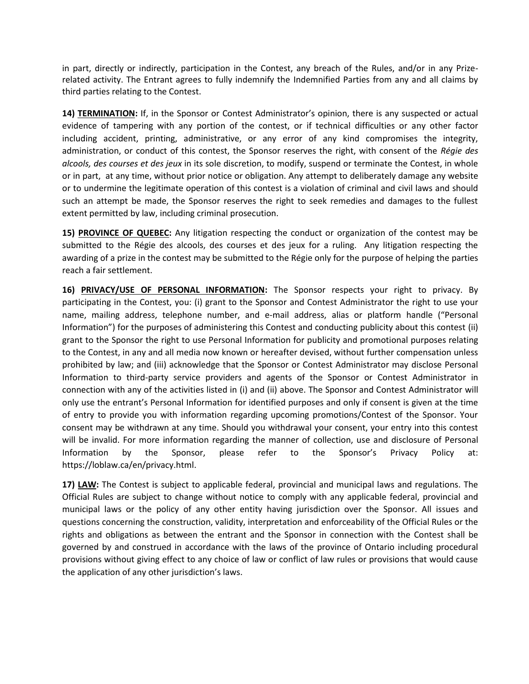in part, directly or indirectly, participation in the Contest, any breach of the Rules, and/or in any Prizerelated activity. The Entrant agrees to fully indemnify the Indemnified Parties from any and all claims by third parties relating to the Contest.

**14) TERMINATION:** If, in the Sponsor or Contest Administrator's opinion, there is any suspected or actual evidence of tampering with any portion of the contest, or if technical difficulties or any other factor including accident, printing, administrative, or any error of any kind compromises the integrity, administration, or conduct of this contest, the Sponsor reserves the right, with consent of the *Régie des alcools, des courses et des jeux* in its sole discretion, to modify, suspend or terminate the Contest, in whole or in part, at any time, without prior notice or obligation. Any attempt to deliberately damage any website or to undermine the legitimate operation of this contest is a violation of criminal and civil laws and should such an attempt be made, the Sponsor reserves the right to seek remedies and damages to the fullest extent permitted by law, including criminal prosecution.

**15) PROVINCE OF QUEBEC:** Any litigation respecting the conduct or organization of the contest may be submitted to the Régie des alcools, des courses et des jeux for a ruling. Any litigation respecting the awarding of a prize in the contest may be submitted to the Régie only for the purpose of helping the parties reach a fair settlement.

**16) PRIVACY/USE OF PERSONAL INFORMATION:** The Sponsor respects your right to privacy. By participating in the Contest, you: (i) grant to the Sponsor and Contest Administrator the right to use your name, mailing address, telephone number, and e-mail address, alias or platform handle ("Personal Information") for the purposes of administering this Contest and conducting publicity about this contest (ii) grant to the Sponsor the right to use Personal Information for publicity and promotional purposes relating to the Contest, in any and all media now known or hereafter devised, without further compensation unless prohibited by law; and (iii) acknowledge that the Sponsor or Contest Administrator may disclose Personal Information to third-party service providers and agents of the Sponsor or Contest Administrator in connection with any of the activities listed in (i) and (ii) above. The Sponsor and Contest Administrator will only use the entrant's Personal Information for identified purposes and only if consent is given at the time of entry to provide you with information regarding upcoming promotions/Contest of the Sponsor. Your consent may be withdrawn at any time. Should you withdrawal your consent, your entry into this contest will be invalid. For more information regarding the manner of collection, use and disclosure of Personal Information by the Sponsor, please refer to the Sponsor's Privacy Policy at: https://loblaw.ca/en/privacy.html.

**17) LAW:** The Contest is subject to applicable federal, provincial and municipal laws and regulations. The Official Rules are subject to change without notice to comply with any applicable federal, provincial and municipal laws or the policy of any other entity having jurisdiction over the Sponsor. All issues and questions concerning the construction, validity, interpretation and enforceability of the Official Rules or the rights and obligations as between the entrant and the Sponsor in connection with the Contest shall be governed by and construed in accordance with the laws of the province of Ontario including procedural provisions without giving effect to any choice of law or conflict of law rules or provisions that would cause the application of any other jurisdiction's laws.